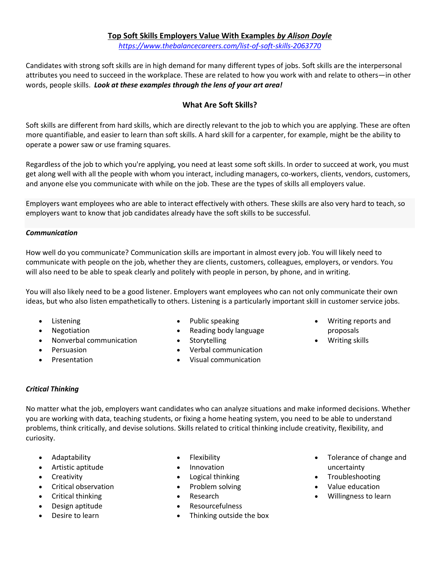## **Top Soft Skills Employers Value With Examples** *by Alison Doyle*

*<https://www.thebalancecareers.com/list-of-soft-skills-2063770>*

Candidates with strong soft skills are in high demand for many different types of jobs. [Soft skills](https://www.thebalancecareers.com/what-are-soft-skills-2060852) are the interpersonal attributes you need to succeed in the workplace. These are related to how you work with and relate to others—in other words, [people skills.](https://www.thebalancecareers.com/interpersonal-skills-list-2063724) *Look at these examples through the lens of your art area!*

# **What Are Soft Skills?**

Soft skills are [different](https://www.thebalancecareers.com/hard-skills-vs-soft-skills-2063780) from [hard skills,](https://www.thebalancecareers.com/what-are-hard-skills-2060829) which are directly relevant to the job to which you are applying. These are often more quantifiable, and easier to learn than soft skills. A hard skill for a [carpenter,](https://www.thebalancecareers.com/carpentry-skills-list-2062368) for example, might be the ability to operate a power saw or use framing squares.

Regardless of the job to which you're applying, you need at least some soft skills. In order [to succeed at](https://www.thebalancecareers.com/top-skills-every-professional-needs-to-have-4150386) work, you must get along well with all the people with whom you interact, including managers, co-workers, clients, vendors, customers, and anyone else you communicate with while on the job. These are the types of skills [all employers value.](https://www.thebalancecareers.com/personal-skills-list-2063763)

Employers want employees who are able to interact effectively with others. These skills are also very hard to teach, so employers want to know that job candidates already have the soft skills to be successful.

### *Communication*

How well do you communicate? [Communication skills](https://www.thebalancecareers.com/communication-skills-list-2063737) are important in almost every job. You will likely need to communicate with people on the job, whether they are clients, customers, colleagues, employers, or vendors. You will also need to be able to speak clearly and politely with people in person, by phone, and in writing.

You will also likely need to be a [good listener.](https://www.thebalancecareers.com/listening-skills-524853) Employers want employees who can not only communicate their own ideas, but who also listen empathetically to others. Listening is a particularly important skill in customer service jobs.

- **[Listening](https://www.thebalancecareers.com/types-of-listening-skills-with-examples-2063759)**
- [Negotiation](https://www.thebalancecareers.com/negotiation-skills-list-2063760)
- [Nonverbal communication](https://www.thebalancecareers.com/nonverbal-communication-skills-2059693)
- [Persuasion](https://www.thebalancecareers.com/persuasive-skills-with-examples-2059694)
- Presentation
- Public speaking
- Reading body language
- Storytelling
- [Verbal communication](https://www.thebalancecareers.com/verbal-communication-skills-list-2059698)
- Visual communication
- Writing reports and proposals
- [Writing skills](https://www.thebalancecareers.com/writing-and-editing-skills-list-2063778)

## *Critical Thinking*

No matter what the job, employers want candidates who can analyze situations and make [informed decisions.](https://www.thebalancecareers.com/decision-making-skills-with-examples-2063748) Whether you are working with data, teaching students, or fixing a home heating system, you need to be able to understand problems, think critically, and devise solutions. Skills related to [critical thinking](https://www.thebalancecareers.com/critical-thinking-definition-with-examples-2063745) include creativity, flexibility, and curiosity.

- [Adaptability](https://www.thebalancecareers.com/important-adaptability-skills-4768260)
- Artistic aptitude
- Creativity
- Critical observation
- [Critical thinking](https://www.thebalancecareers.com/critical-thinking-definition-with-examples-2063745)
- Design aptitude
- Desire to learn
- **[Flexibility](https://www.thebalancecareers.com/workplace-flexibility-definition-with-examples-2059699)**
- Innovation
- [Logical thinking](https://www.thebalancecareers.com/logical-thinking-definition-with-examples-2059690)
- [Problem solving](https://www.thebalancecareers.com/problem-solving-skills-with-examples-2063764)
- Research
- Resourcefulness
- Thinking outside the box
- Tolerance of change and uncertainty
- Troubleshooting
- Value education
- Willingness to learn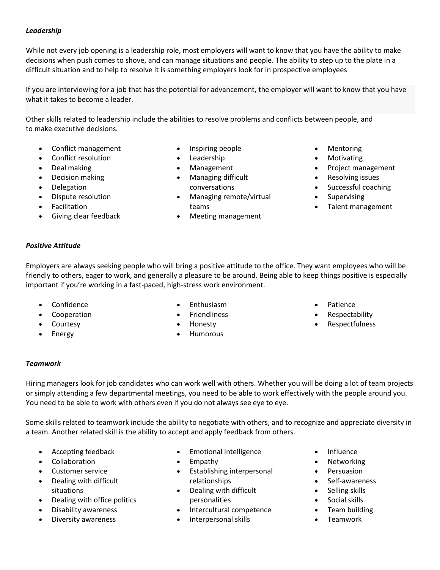### *Leadership*

While not every job opening is a [leadership](https://www.thebalancecareers.com/leadership-skills-list-2063757) role, most employers will want to know that you have the ability to make decisions when push comes to shove, and can manage situations and people. The ability to step up to the plate in a difficult situation and to help to resolve it is something employers look for in prospective employees

If you are interviewing for a job that has the potential for advancement, the employer will want to know that you have what it takes to become a leader.

Other skills related to leadership include the abilities to resolve problems and conflicts between people, and to make executive decisions.

- [Conflict management](https://www.thebalancecareers.com/conflict-management-skills-2059687)
- [Conflict resolution](https://www.thebalancecareers.com/conflict-resolutions-skills-2063739)
- Deal making
- Decision making
- [Delegation](https://www.thebalancecareers.com/delegation-skills-2059688)
- Dispute resolution
- **Facilitation**
- Giving clear feedback
- Inspiring people
- **[Leadership](https://www.thebalancecareers.com/leadership-skills-list-2063757)**
- [Management](https://www.thebalancecareers.com/management-skills-list-2062427)
- Managing difficult conversations
- Managing remote/virtual teams
- Meeting management
- Mentoring
- **[Motivating](https://www.thebalancecareers.com/motivational-skills-with-examples-2059691)**
- Project management
- Resolving issues
- Successful coaching
- Supervising
- Talent management

## *Positive Attitude*

Employers are always seeking people who will bring a positive attitude to the office. They want employees who will be friendly to others, eager to work, and generally a pleasure to be around. Being able to keep things positive is especially important if you're working in a fast-paced, high-stress work environment.

- Confidence
- Cooperation
- **Courtesy**
- **Energy**
- **Enthusiasm**
- **Friendliness**
- Honesty
- Humorous
- Patience
- Respectability
- **Respectfulness**

### *Teamwork*

Hiring managers look for job candidates who can work well with others. Whether you will be doing a lot of team projects or simply attending a few departmental meetings, you need to be able to work effectively with the people around you. You need to be able to work with others even if you do not always see eye to eye.

Some skills related to [teamwork](https://www.thebalancecareers.com/list-of-teamwork-skills-2063773) include the ability to negotiate with others, and to recognize and appreciate diversity in a team. Another related skill is the ability to accept and apply feedback from others.

- Accepting feedback
- [Collaboration](https://www.thebalancecareers.com/collaboration-skills-with-examples-2059686)
- [Customer service](https://www.thebalancecareers.com/top-soft-skills-for-customer-service-jobs-2063746)
- Dealing with difficult situations
- Dealing with office politics
- Disability awareness
- Diversity awareness
- [Emotional intelligence](https://www.thebalancecareers.com/interview-questions-about-your-emotional-intelligence-2059962)
- Empathy
- Establishing interpersonal relationships
- Dealing with difficult personalities
- Intercultural competence
- [Interpersonal skills](https://www.thebalancecareers.com/interpersonal-skills-list-2063724)
- Influence
- **Networking**
- **Persuasion**
- Self-awareness
- Selling skills
- [Social](https://www.thebalancecareers.com/top-social-skills-for-workplace-success-4142848) skills
- [Team building](https://www.thebalancecareers.com/list-of-team-building-skills-2063772)
- [Teamwork](https://www.thebalancecareers.com/list-of-teamwork-skills-2063773)